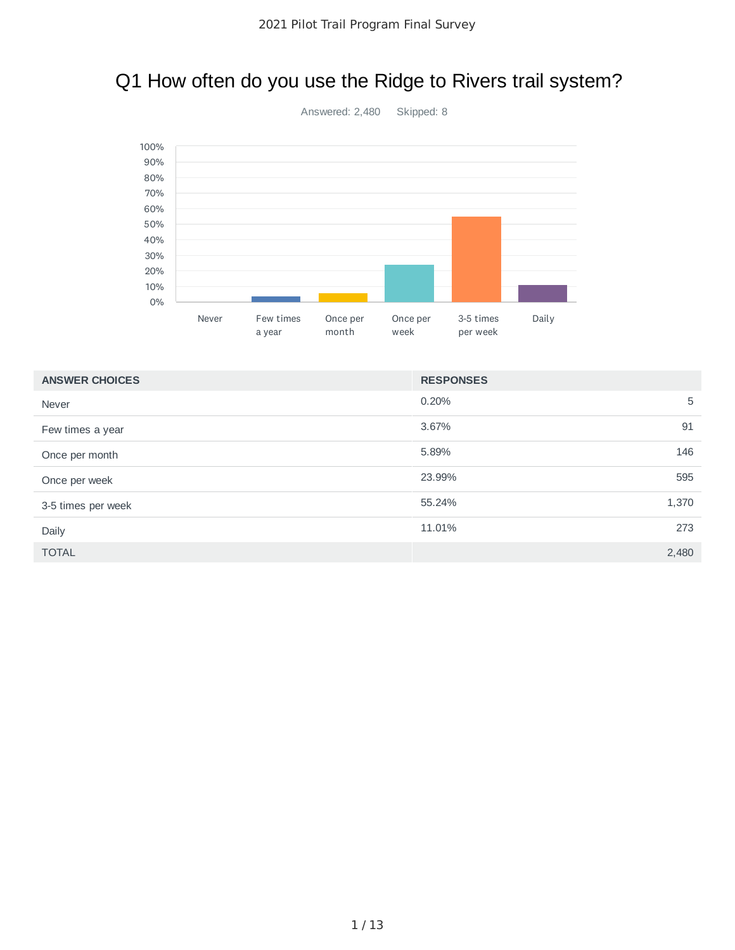# Q1 How often do you use the Ridge to Rivers trail system?



0.20% 5 3.67% 91 5.89% 146 23.99% 595 55.24% 1,370 11.01% 273 TOTAL 2,480 **ANSWER CHOICES RESPONSES** Never Few times a year Once per month Once per week 3-5 times per week Daily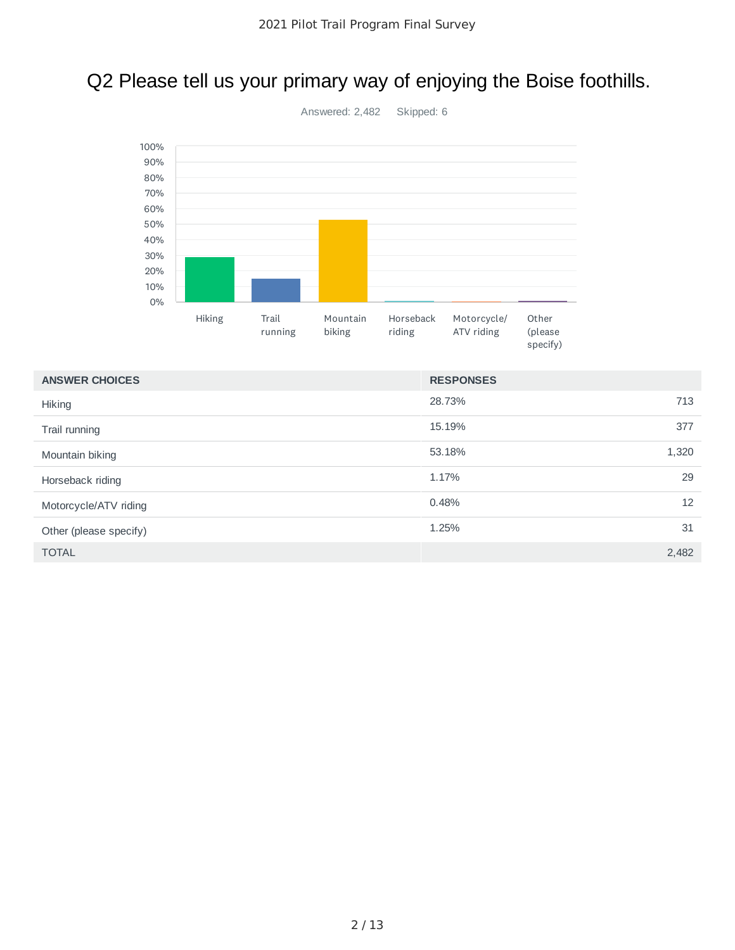# Q2 Please tell us your primary way of enjoying the Boise foothills.



| <b>ANSWER CHOICES</b>  | <b>RESPONSES</b> |       |
|------------------------|------------------|-------|
| Hiking                 | 28.73%           | 713   |
| Trail running          | 15.19%           | 377   |
| Mountain biking        | 53.18%           | 1,320 |
| Horseback riding       | 1.17%            | 29    |
| Motorcycle/ATV riding  | 0.48%            | 12    |
| Other (please specify) | 1.25%            | 31    |
| <b>TOTAL</b>           |                  | 2,482 |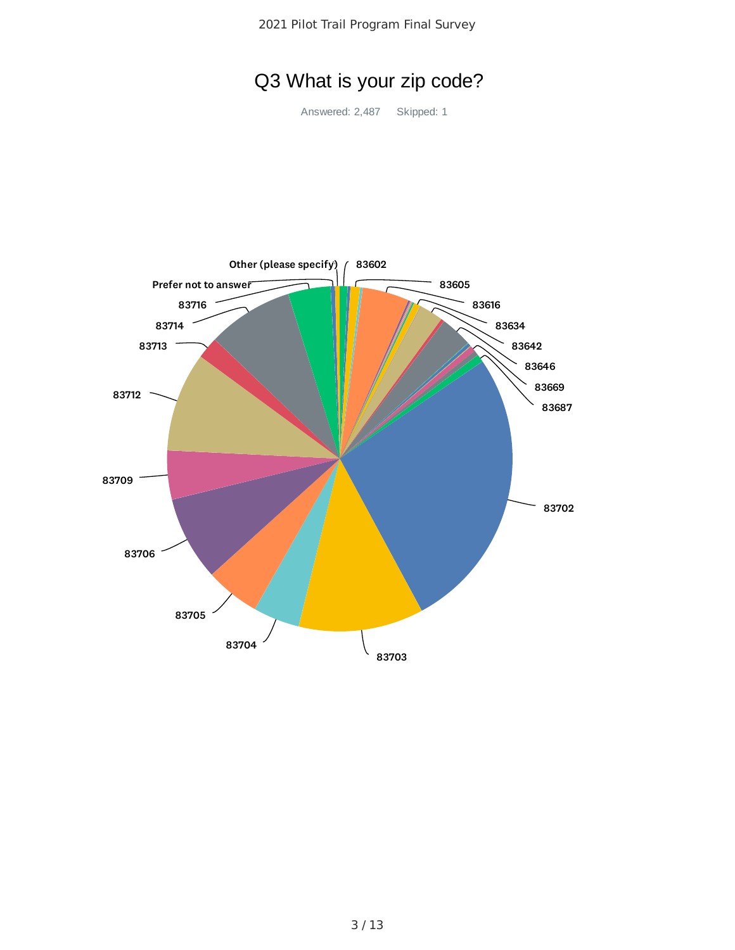Pilot Trail Program Final Survey

# Q3 What is your zip code?

Answered: 2,487 Skipped: 1

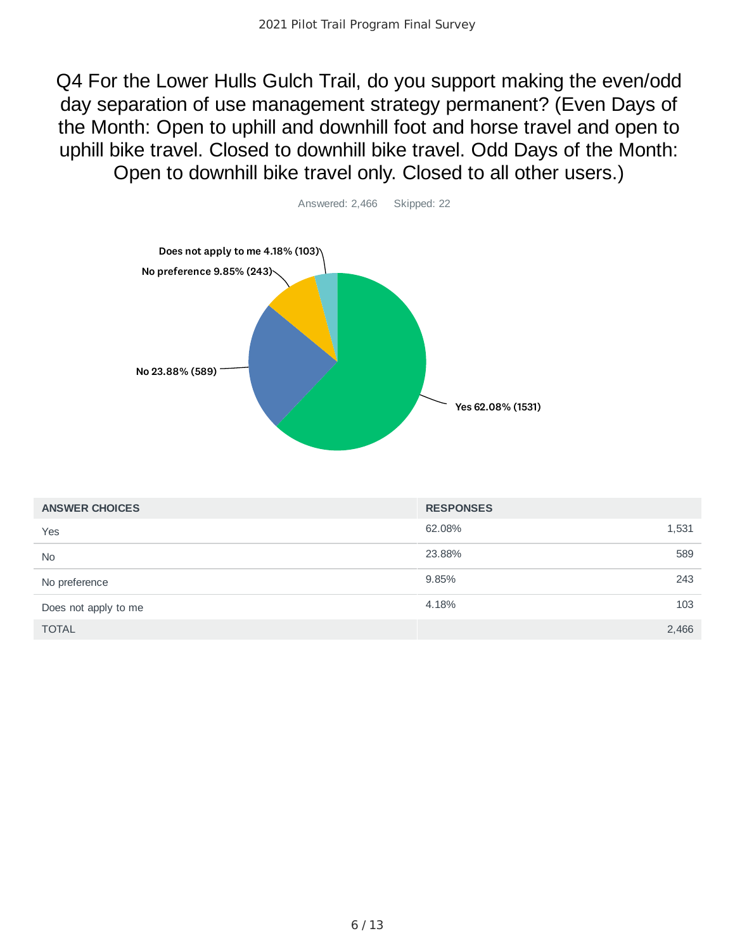Q4 For the Lower Hulls Gulch Trail, do you support making the even/odd day separation of use management strategy permanent? (Even Days of the Month: Open to uphill and downhill foot and horse travel and open to uphill bike travel. Closed to downhill bike travel. Odd Days of the Month: Open to downhill bike travel only. Closed to all other users.)



| <b>ANSWER CHOICES</b> | <b>RESPONSES</b> |       |
|-----------------------|------------------|-------|
| Yes                   | 62.08%           | 1,531 |
| <b>No</b>             | 23.88%           | 589   |
| No preference         | 9.85%            | 243   |
| Does not apply to me  | 4.18%            | 103   |
| <b>TOTAL</b>          |                  | 2,466 |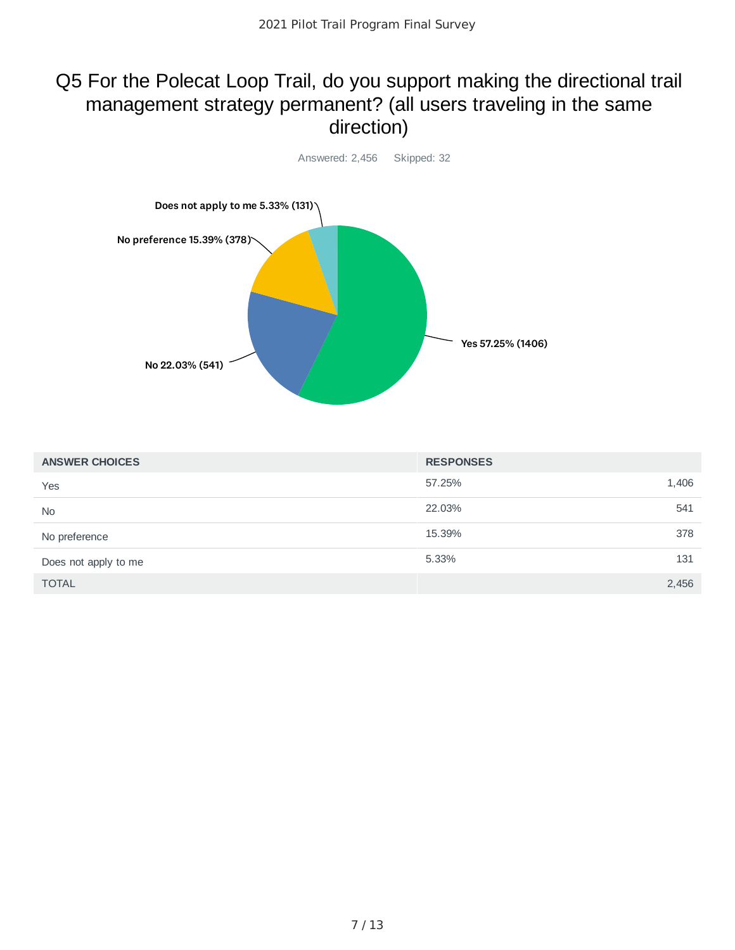### Q5 For the Polecat Loop Trail, do you support making the directional trail management strategy permanent? (all users traveling in the same direction)



| <b>ANSWER CHOICES</b> | <b>RESPONSES</b> |       |
|-----------------------|------------------|-------|
| Yes                   | 57.25%           | 1,406 |
| <b>No</b>             | 22.03%           | 541   |
| No preference         | 15.39%           | 378   |
| Does not apply to me  | 5.33%            | 131   |
| <b>TOTAL</b>          |                  | 2,456 |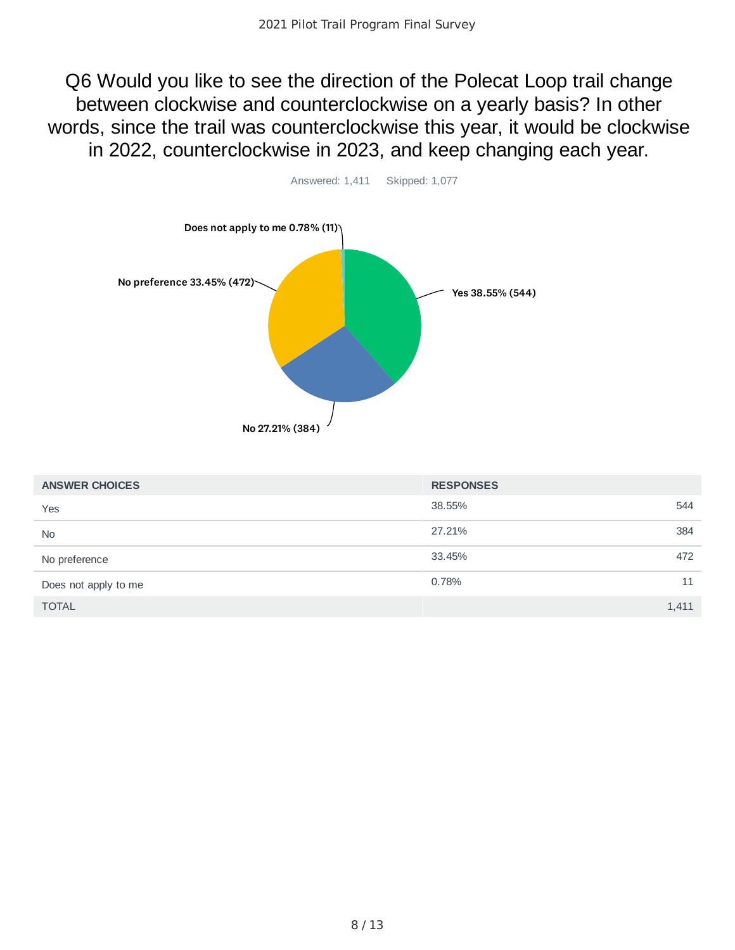Q6 Would you like to see the direction of the Polecat Loop trail change between clockwise and counterclockwise on a yearly basis? In other words, since the trail was counterclockwise this year, it would be clockwise in 2022, counterclockwise in 2023, and keep changing each year.



| <b>ANSWER CHOICES</b> | <b>RESPONSES</b> |       |
|-----------------------|------------------|-------|
| Yes                   | 38.55%           | 544   |
| <b>No</b>             | 27.21%           | 384   |
| No preference         | 33.45%           | 472   |
| Does not apply to me  | 0.78%            | 11    |
| <b>TOTAL</b>          |                  | 1,411 |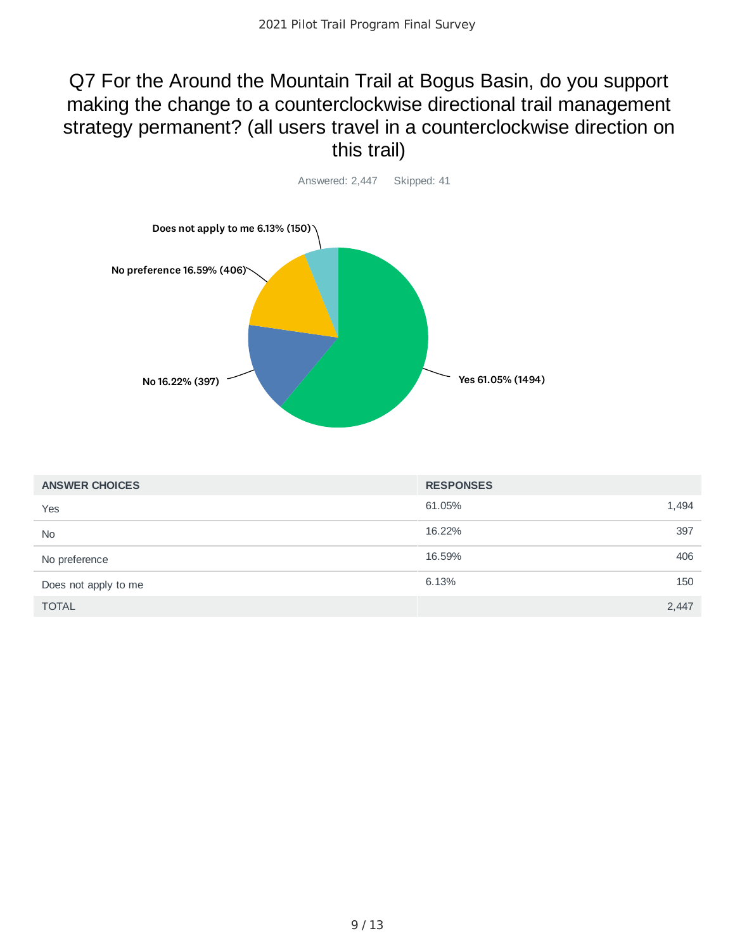### Q7 For the Around the Mountain Trail at Bogus Basin, do you support making the change to a counterclockwise directional trail management strategy permanent? (all users travel in a counterclockwise direction on this trail)



| <b>ANSWER CHOICES</b> | <b>RESPONSES</b> |       |
|-----------------------|------------------|-------|
| Yes                   | 61.05%           | 1,494 |
| <b>No</b>             | 16.22%           | 397   |
| No preference         | 16.59%           | 406   |
| Does not apply to me  | 6.13%            | 150   |
| <b>TOTAL</b>          |                  | 2,447 |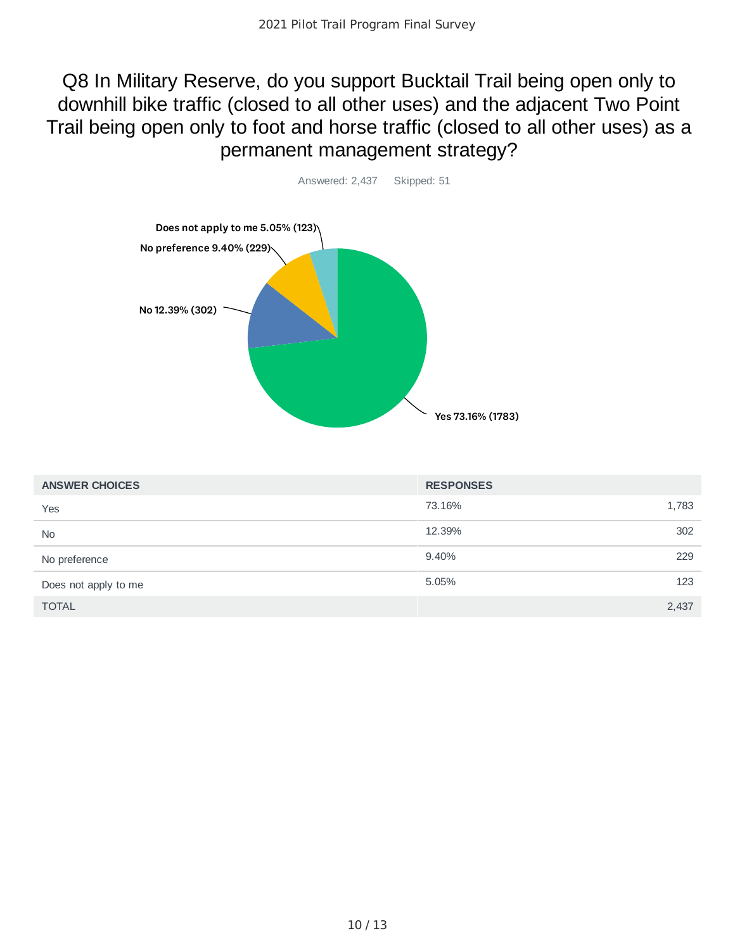### Q8 In Military Reserve, do you support Bucktail Trail being open only to downhill bike traffic (closed to all other uses) and the adjacent Two Point Trail being open only to foot and horse traffic (closed to all other uses) as a permanent management strategy?



| <b>ANSWER CHOICES</b> | <b>RESPONSES</b> |       |
|-----------------------|------------------|-------|
| Yes                   | 73.16%           | 1,783 |
| <b>No</b>             | 12.39%           | 302   |
| No preference         | 9.40%            | 229   |
| Does not apply to me  | 5.05%            | 123   |
| <b>TOTAL</b>          |                  | 2,437 |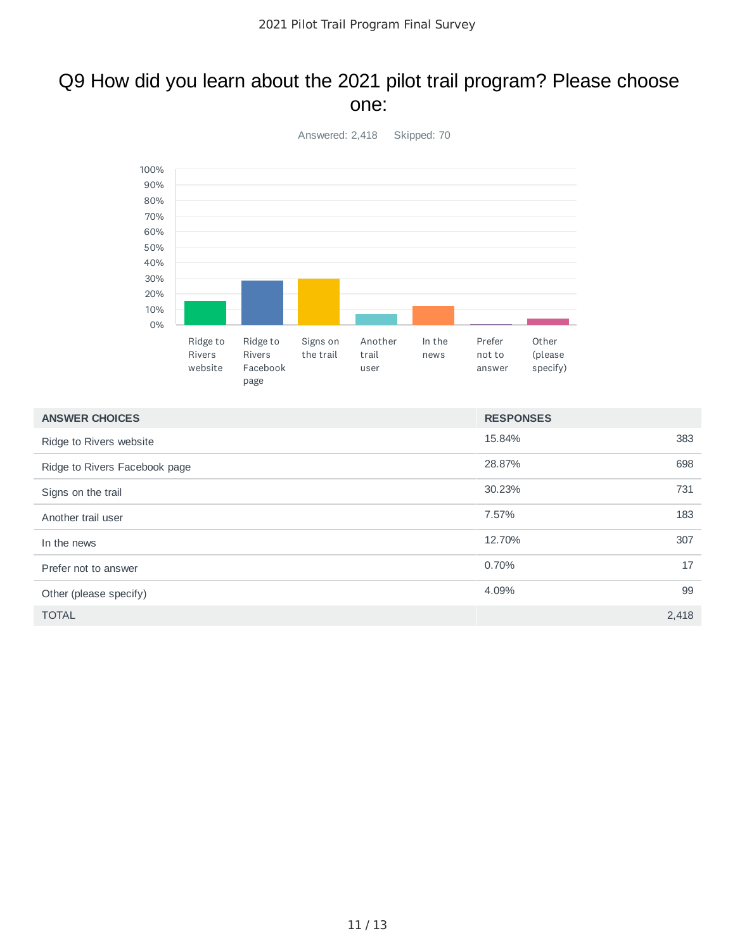#### Q9 How did you learn about the 2021 pilot trail program? Please choose one:



| <b>ANSWER CHOICES</b>         | <b>RESPONSES</b> |       |
|-------------------------------|------------------|-------|
| Ridge to Rivers website       | 15.84%           | 383   |
| Ridge to Rivers Facebook page | 28.87%           | 698   |
| Signs on the trail            | 30.23%           | 731   |
| Another trail user            | 7.57%            | 183   |
| In the news                   | 12.70%           | 307   |
| Prefer not to answer          | 0.70%            | 17    |
| Other (please specify)        | 4.09%            | 99    |
| <b>TOTAL</b>                  |                  | 2,418 |